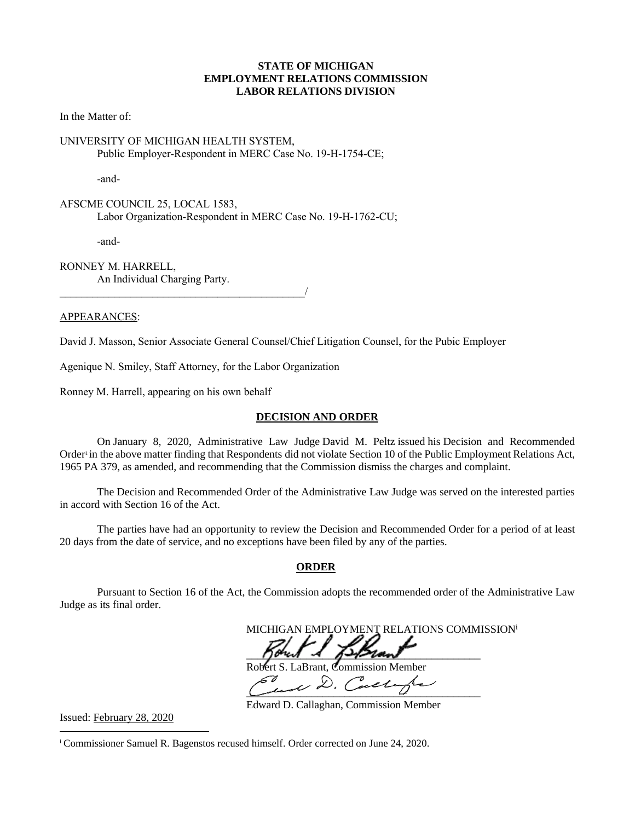#### **STATE OF MICHIGAN EMPLOYMENT RELATIONS COMMISSION LABOR RELATIONS DIVISION**

In the Matter of:

#### UNIVERSITY OF MICHIGAN HEALTH SYSTEM, Public Employer-Respondent in MERC Case No. 19-H-1754-CE;

-and-

AFSCME COUNCIL 25, LOCAL 1583, Labor Organization-Respondent in MERC Case No. 19-H-1762-CU;

-and-

RONNEY M. HARRELL, An Individual Charging Party.

#### APPEARANCES:

David J. Masson, Senior Associate General Counsel/Chief Litigation Counsel, for the Pubic Employer

Agenique N. Smiley, Staff Attorney, for the Labor Organization

 $\overline{\phantom{a}}$ 

Ronney M. Harrell, appearing on his own behalf

#### **DECISION AND ORDER**

On January 8, 2020, Administrative Law Judge David M. Peltz issued his Decision and Recommended Order' in the above matter finding that Respondents did not violate Section 10 of the Public Employment Relations Act, 1965 PA 379, as amended, and recommending that the Commission dismiss the charges and complaint.

The Decision and Recommended Order of the Administrative Law Judge was served on the interested parties in accord with Section 16 of the Act.

The parties have had an opportunity to review the Decision and Recommended Order for a period of at least 20 days from the date of service, and no exceptions have been filed by any of the parties.

#### **ORDER**

Pursuant to Section 16 of the Act, the Commission adopts the recommended order of the Administrative Law Judge as its final order.

MICHIGAN EMPLOYMENT RELATIONS COMMISSION<sup>i</sup>  $\eta$ ond  $\lambda$   $\eta$  )  $\eta$  and Robert S. LaBrant, Commission Member  $\mathscr{L}$  and D. Callaghe

Issued: February 28, 2020

Edward D. Callaghan, Commission Member

<sup>i</sup> Commissioner Samuel R. Bagenstos recused himself. Order corrected on June 24, 2020.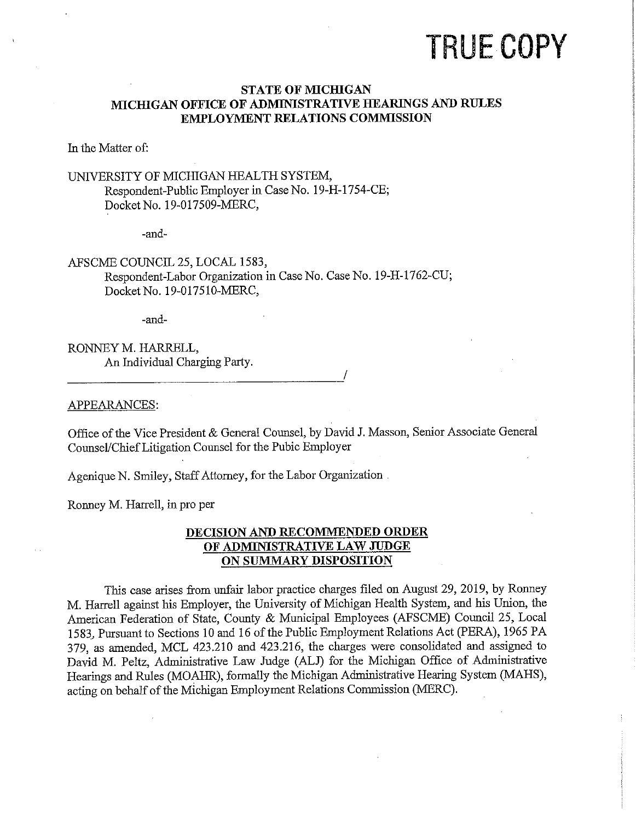# **TRUE COPY**

### **STATE OF MICHIGAN** MICHIGAN OFFICE OF ADMINISTRATIVE HEARINGS AND RULES **EMPLOYMENT RELATIONS COMMISSION**

In the Matter of:

## UNIVERSITY OF MICHIGAN HEALTH SYSTEM, Respondent-Public Employer in Case No. 19-H-1754-CE; Docket No. 19-017509-MERC,

-and-

# AFSCME COUNCIL 25, LOCAL 1583, Respondent-Labor Organization in Case No. Case No. 19-H-1762-CU;

Docket No. 19-017510-MERC,

-and-

# RONNEY M. HARRELL. An Individual Charging Party.

#### APPEARANCES:

Office of the Vice President & General Counsel, by David J. Masson, Senior Associate General Counsel/Chief Litigation Counsel for the Pubic Employer

Agenique N. Smiley, Staff Attorney, for the Labor Organization

Ronney M. Harrell, in pro per

## DECISION AND RECOMMENDED ORDER OF ADMINISTRATIVE LAW JUDGE ON SUMMARY DISPOSITION

This case arises from unfair labor practice charges filed on August 29, 2019, by Ronney M. Harrell against his Employer, the University of Michigan Health System, and his Union, the American Federation of State, County & Municipal Employees (AFSCME) Council 25, Local 1583. Pursuant to Sections 10 and 16 of the Public Employment Relations Act (PERA), 1965 PA 379, as amended, MCL 423.210 and 423.216, the charges were consolidated and assigned to David M. Peltz, Administrative Law Judge (ALJ) for the Michigan Office of Administrative Hearings and Rules (MOAHR), formally the Michigan Administrative Hearing System (MAHS), acting on behalf of the Michigan Employment Relations Commission (MERC).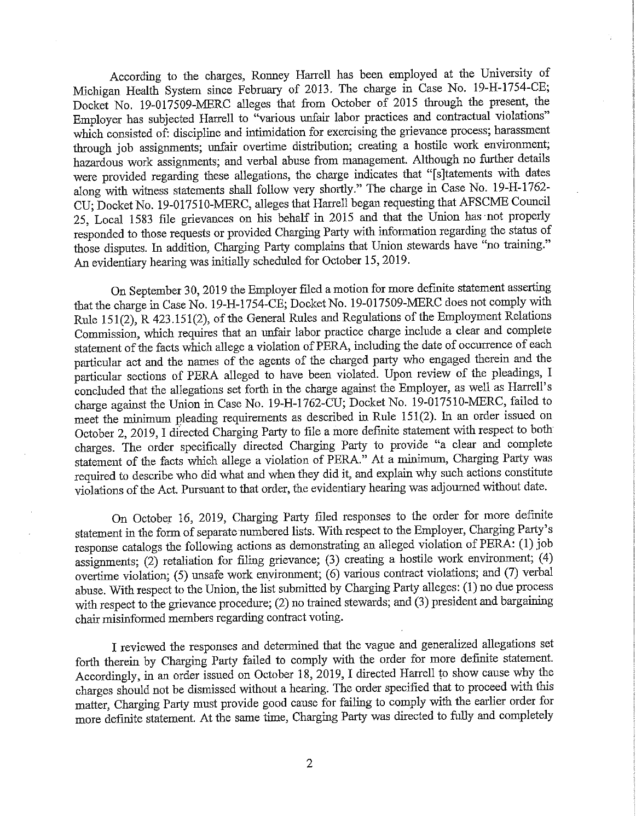According to the charges, Ronney Harrell has been employed at the University of Michigan Health System since February of 2013. The charge in Case No. 19-H-1754-CE; Docket No. 19-017509-MERC alleges that from October of 2015 through the present, the Employer has subjected Harrell to "various unfair labor practices and contractual violations" which consisted of: discipline and intimidation for exercising the grievance process; harassment through job assignments; unfair overtime distribution; creating a hostile work environment; hazardous work assignments; and verbal abuse from management. Although no further details were provided regarding these allegations, the charge indicates that "[s]tatements with dates along with witness statements shall follow very shortly." The charge in Case No. 19-H-1762-CU; Docket No. 19-017510-MERC, alleges that Harrell began requesting that AFSCME Council 25, Local 1583 file grievances on his behalf in 2015 and that the Union has not properly responded to those requests or provided Charging Party with information regarding the status of those disputes. In addition, Charging Party complains that Union stewards have "no training." An evidentiary hearing was initially scheduled for October 15, 2019.

On September 30, 2019 the Employer filed a motion for more definite statement asserting that the charge in Case No. 19-H-1754-CE; Docket No. 19-017509-MERC does not comply with Rule 151(2), R 423.151(2), of the General Rules and Regulations of the Employment Relations Commission, which requires that an unfair labor practice charge include a clear and complete statement of the facts which allege a violation of PERA, including the date of occurrence of each particular act and the names of the agents of the charged party who engaged therein and the particular sections of PERA alleged to have been violated. Upon review of the pleadings, I concluded that the allegations set forth in the charge against the Employer, as well as Harrell's charge against the Union in Case No. 19-H-1762-CU; Docket No. 19-017510-MERC, failed to meet the minimum pleading requirements as described in Rule 151(2). In an order issued on October 2, 2019, I directed Charging Party to file a more definite statement with respect to both charges. The order specifically directed Charging Party to provide "a clear and complete statement of the facts which allege a violation of PERA." At a minimum, Charging Party was required to describe who did what and when they did it, and explain why such actions constitute violations of the Act. Pursuant to that order, the evidentiary hearing was adjourned without date.

On October 16, 2019, Charging Party filed responses to the order for more definite statement in the form of separate numbered lists. With respect to the Employer, Charging Party's response catalogs the following actions as demonstrating an alleged violation of PERA: (1) job assignments; (2) retaliation for filing grievance; (3) creating a hostile work environment; (4) overtime violation; (5) unsafe work environment; (6) various contract violations; and (7) verbal abuse. With respect to the Union, the list submitted by Charging Party alleges: (1) no due process with respect to the grievance procedure; (2) no trained stewards; and (3) president and bargaining chair misinformed members regarding contract voting.

I reviewed the responses and determined that the vague and generalized allegations set forth therein by Charging Party failed to comply with the order for more definite statement. Accordingly, in an order issued on October 18, 2019, I directed Harrell to show cause why the charges should not be dismissed without a hearing. The order specified that to proceed with this matter, Charging Party must provide good cause for failing to comply with the earlier order for more definite statement. At the same time, Charging Party was directed to fully and completely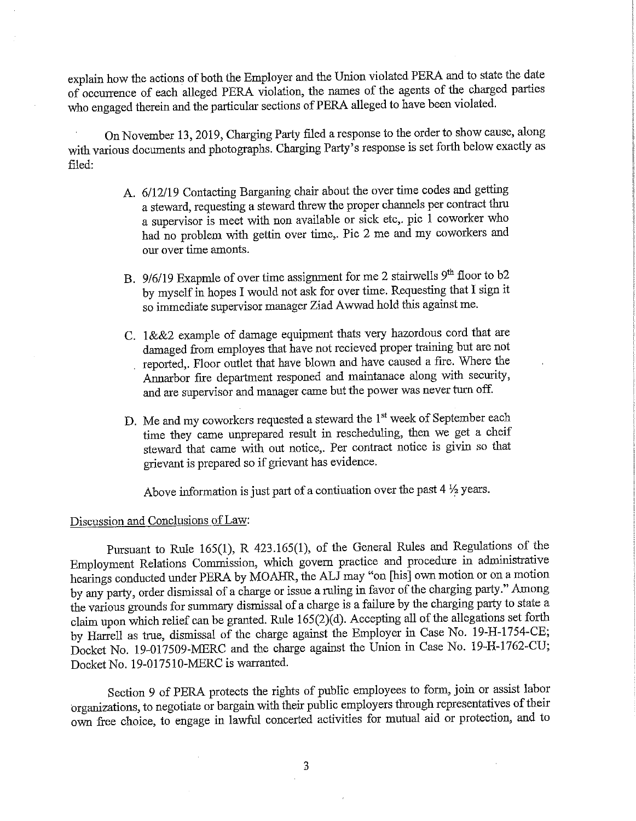explain how the actions of both the Employer and the Union violated PERA and to state the date of occurrence of each alleged PERA violation, the names of the agents of the charged parties who engaged therein and the particular sections of PERA alleged to have been violated.

On November 13, 2019, Charging Party filed a response to the order to show cause, along with various documents and photographs. Charging Party's response is set forth below exactly as filed:

- A. 6/12/19 Contacting Barganing chair about the over time codes and getting a steward, requesting a steward threw the proper channels per contract thru a supervisor is meet with non available or sick etc,. pic 1 coworker who had no problem with gettin over time,. Pic 2 me and my coworkers and our over time amonts.
- B. 9/6/19 Exapmle of over time assignment for me 2 stairwells 9<sup>th</sup> floor to b2 by myself in hopes I would not ask for over time. Requesting that I sign it so immediate supervisor manager Ziad Awwad hold this against me.
- C. 1&&2 example of damage equipment thats very hazordous cord that are damaged from employes that have not recieved proper training but are not reported,. Floor outlet that have blown and have caused a fire. Where the Annarbor fire department responed and maintanace along with security, and are supervisor and manager came but the power was never turn off.
- D. Me and my coworkers requested a steward the 1<sup>st</sup> week of September each time they came unprepared result in rescheduling, then we get a cheif steward that came with out notice,. Per contract notice is givin so that grievant is prepared so if grievant has evidence.

Above information is just part of a continuation over the past  $4\frac{1}{2}$  years.

# Discussion and Conclusions of Law:

Pursuant to Rule 165(1), R 423.165(1), of the General Rules and Regulations of the Employment Relations Commission, which govern practice and procedure in administrative hearings conducted under PERA by MOAHR, the ALJ may "on [his] own motion or on a motion by any party, order dismissal of a charge or issue a ruling in favor of the charging party." Among the various grounds for summary dismissal of a charge is a failure by the charging party to state a claim upon which relief can be granted. Rule  $165(2)(d)$ . Accepting all of the allegations set forth by Harrell as true, dismissal of the charge against the Employer in Case No. 19-H-1754-CE; Docket No. 19-017509-MERC and the charge against the Union in Case No. 19-H-1762-CU; Docket No. 19-017510-MERC is warranted.

Section 9 of PERA protects the rights of public employees to form, join or assist labor organizations, to negotiate or bargain with their public employers through representatives of their own free choice, to engage in lawful concerted activities for mutual aid or protection, and to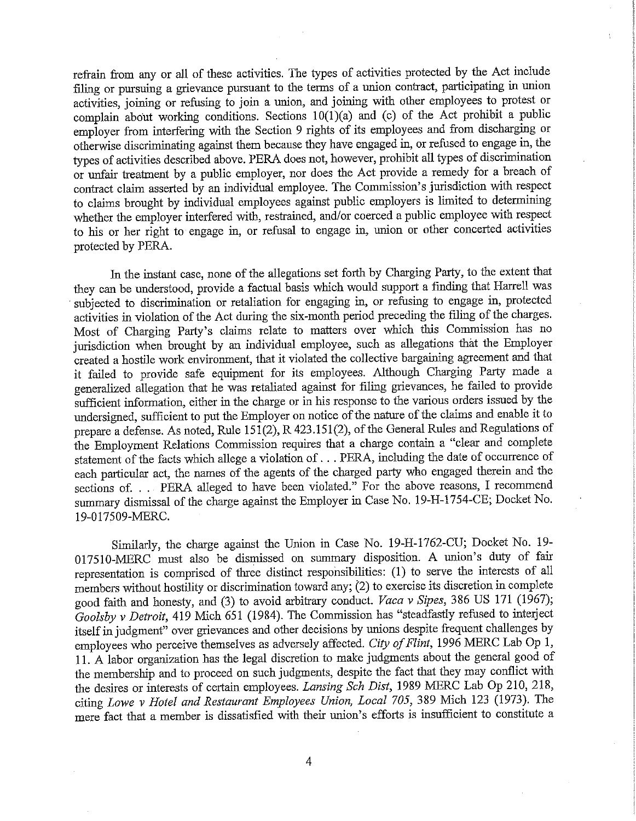refrain from any or all of these activities. The types of activities protected by the Act include filing or pursuing a grievance pursuant to the terms of a union contract, participating in union activities, joining or refusing to join a union, and joining with other employees to protest or complain about working conditions. Sections  $10(1)(a)$  and (c) of the Act prohibit a public employer from interfering with the Section 9 rights of its employees and from discharging or otherwise discriminating against them because they have engaged in, or refused to engage in, the types of activities described above. PERA does not, however, prohibit all types of discrimination or unfair treatment by a public employer, nor does the Act provide a remedy for a breach of contract claim asserted by an individual employee. The Commission's jurisdiction with respect to claims brought by individual employees against public employers is limited to determining whether the employer interfered with, restrained, and/or coerced a public employee with respect to his or her right to engage in, or refusal to engage in, union or other concerted activities protected by PERA.

In the instant case, none of the allegations set forth by Charging Party, to the extent that they can be understood, provide a factual basis which would support a finding that Harrell was subjected to discrimination or retaliation for engaging in, or refusing to engage in, protected activities in violation of the Act during the six-month period preceding the filing of the charges. Most of Charging Party's claims relate to matters over which this Commission has no jurisdiction when brought by an individual employee, such as allegations that the Employer created a hostile work environment, that it violated the collective bargaining agreement and that it failed to provide safe equipment for its employees. Although Charging Party made a generalized allegation that he was retaliated against for filing grievances, he failed to provide sufficient information, either in the charge or in his response to the various orders issued by the undersigned, sufficient to put the Employer on notice of the nature of the claims and enable it to prepare a defense. As noted, Rule  $151(2)$ , R 423.151(2), of the General Rules and Regulations of the Employment Relations Commission requires that a charge contain a "clear and complete statement of the facts which allege a violation of . . . PERA, including the date of occurrence of each particular act, the names of the agents of the charged party who engaged therein and the sections of. . . PERA alleged to have been violated." For the above reasons, I recommend summary dismissal of the charge against the Employer in Case No. 19-H-1754-CE; Docket No. 19-017509-MERC.

Similarly, the charge against the Union in Case No. 19-H-1762-CU; Docket No. 19-017510-MERC must also be dismissed on summary disposition. A union's duty of fair representation is comprised of three distinct responsibilities: (1) to serve the interests of all members without hostility or discrimination toward any; (2) to exercise its discretion in complete good faith and honesty, and (3) to avoid arbitrary conduct. Vaca v Sipes, 386 US 171 (1967); Goolsby v Detroit, 419 Mich 651 (1984). The Commission has "steadfastly refused to interject itself in judgment" over grievances and other decisions by unions despite frequent challenges by employees who perceive themselves as adversely affected. City of Flint, 1996 MERC Lab Op 1, 11. A labor organization has the legal discretion to make judgments about the general good of the membership and to proceed on such judgments, despite the fact that they may conflict with the desires or interests of certain employees. Lansing Sch Dist, 1989 MERC Lab Op 210, 218, citing Lowe v Hotel and Restaurant Employees Union, Local 705, 389 Mich 123 (1973). The mere fact that a member is dissatisfied with their union's efforts is insufficient to constitute a